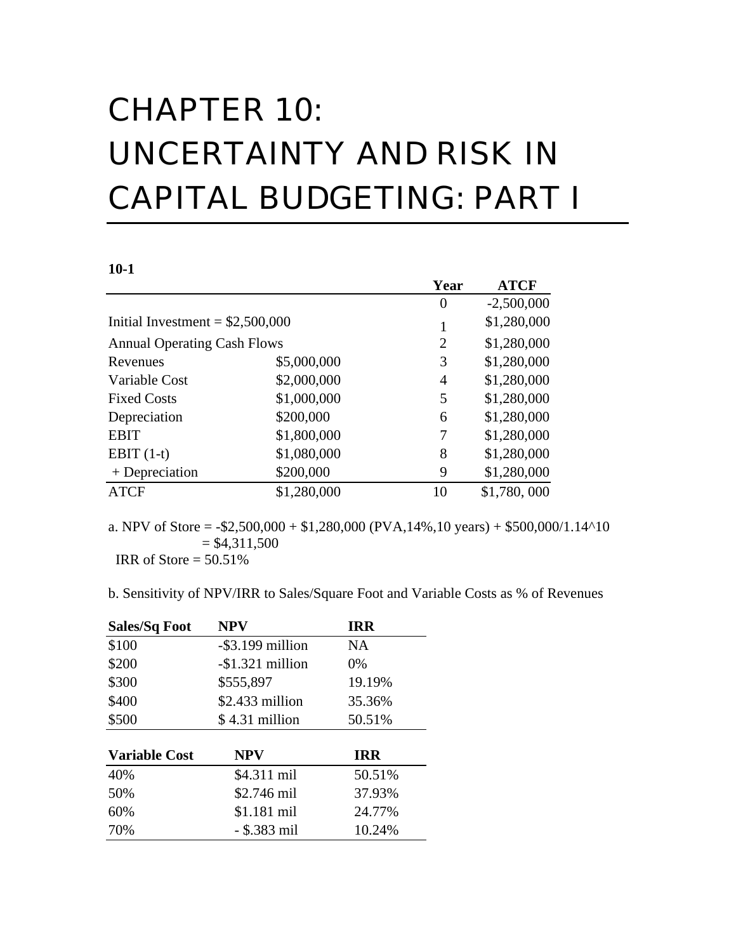# CHAPTER 10: UNCERTAINTY AND RISK IN CAPITAL BUDGETING: PART I

#### **10-1**

|                                    |             | Year           | <b>ATCF</b>  |
|------------------------------------|-------------|----------------|--------------|
|                                    |             | $\overline{0}$ | $-2,500,000$ |
| Initial Investment = $$2,500,000$  |             |                | \$1,280,000  |
| <b>Annual Operating Cash Flows</b> |             | $\overline{2}$ | \$1,280,000  |
| Revenues                           | \$5,000,000 | 3              | \$1,280,000  |
| Variable Cost                      | \$2,000,000 | 4              | \$1,280,000  |
| <b>Fixed Costs</b>                 | \$1,000,000 | 5              | \$1,280,000  |
| Depreciation                       | \$200,000   | 6              | \$1,280,000  |
| <b>EBIT</b>                        | \$1,800,000 | 7              | \$1,280,000  |
| EBIT $(1-t)$                       | \$1,080,000 | 8              | \$1,280,000  |
| $+$ Depreciation                   | \$200,000   | 9              | \$1,280,000  |
| <b>ATCF</b>                        | \$1,280,000 | 10             | \$1,780,000  |

a. NPV of Store =  $-$ \$2,500,000 + \$1,280,000 (PVA,14%,10 years) + \$500,000/1.14^10  $= $4,311,500$ IRR of Store  $= 50.51\%$ 

b. Sensitivity of NPV/IRR to Sales/Square Foot and Variable Costs as % of Revenues

| <b>Sales/Sq Foot</b> | <b>NPV</b>        | <b>IRR</b> |
|----------------------|-------------------|------------|
| \$100                | -\$3.199 million  | NA.        |
| \$200                | $-$1.321$ million | 0%         |
| \$300                | \$555,897         | 19.19%     |
| \$400                | $$2.433$ million  | 35.36%     |
| \$500                | $$4.31$ million   | 50.51%     |
|                      |                   |            |
| <b>Variable Cost</b> | NPV               | IRR        |
| 40%                  | \$4.311 mil       | 50.51%     |
| 50%                  | \$2.746 mil       | 37.93%     |
| 60%                  | \$1.181 mil       | 24.77%     |
| 70%                  | $-$ \$.383 mil    | 10.24%     |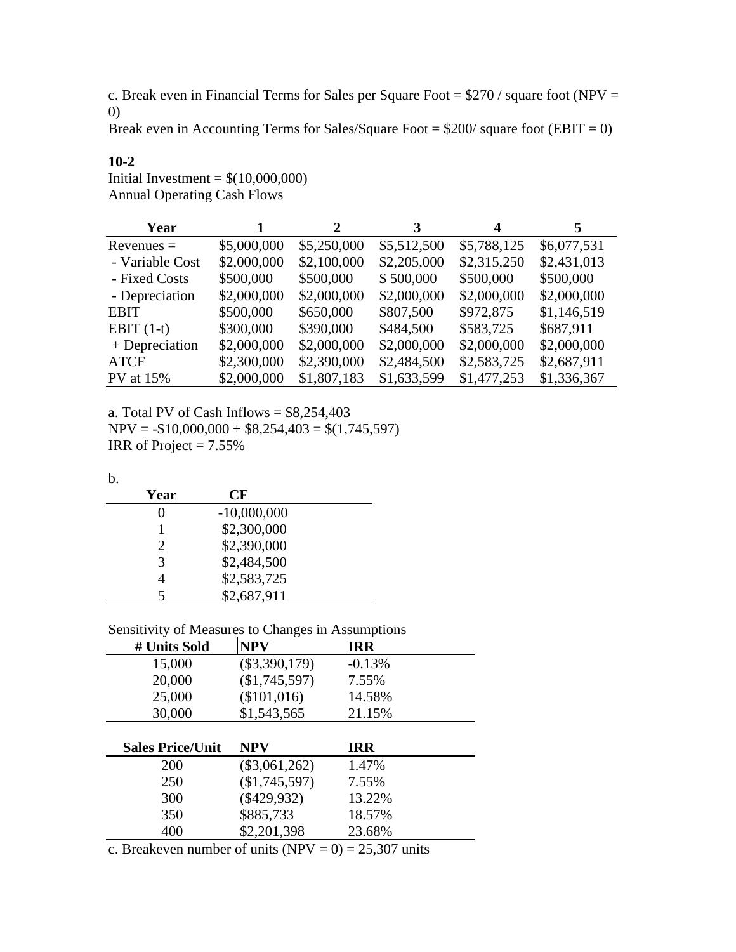c. Break even in Financial Terms for Sales per Square Foot =  $$270$  / square foot (NPV = 0)

Break even in Accounting Terms for Sales/Square Foot =  $$200/$  square foot (EBIT = 0)

| Year             | 1           | <sup>2</sup> | 3           | 4           | 5.          |
|------------------|-------------|--------------|-------------|-------------|-------------|
| $Revenues =$     | \$5,000,000 | \$5,250,000  | \$5,512,500 | \$5,788,125 | \$6,077,531 |
| - Variable Cost  | \$2,000,000 | \$2,100,000  | \$2,205,000 | \$2,315,250 | \$2,431,013 |
| - Fixed Costs    | \$500,000   | \$500,000    | \$500,000   | \$500,000   | \$500,000   |
| - Depreciation   | \$2,000,000 | \$2,000,000  | \$2,000,000 | \$2,000,000 | \$2,000,000 |
| <b>EBIT</b>      | \$500,000   | \$650,000    | \$807,500   | \$972,875   | \$1,146,519 |
| EBIT $(1-t)$     | \$300,000   | \$390,000    | \$484,500   | \$583,725   | \$687,911   |
| $+$ Depreciation | \$2,000,000 | \$2,000,000  | \$2,000,000 | \$2,000,000 | \$2,000,000 |
| <b>ATCF</b>      | \$2,300,000 | \$2,390,000  | \$2,484,500 | \$2,583,725 | \$2,687,911 |
| PV at 15%        | \$2,000,000 | \$1,807,183  | \$1,633,599 | \$1,477,253 | \$1,336,367 |

a. Total PV of Cash Inflows = \$8,254,403  $NPV = -\$10,000,000 + \$8,254,403 = \$(1,745,597)$ IRR of Project =  $7.55\%$ 

| 원 사<br>×<br>×<br>$\sim$<br>.,<br>۰. |
|-------------------------------------|
|-------------------------------------|

**10-2**

Initial Investment =  $$(10,000,000)$ Annual Operating Cash Flows

| Year | CF            |  |
|------|---------------|--|
|      | $-10,000,000$ |  |
|      | \$2,300,000   |  |
| 2    | \$2,390,000   |  |
| 3    | \$2,484,500   |  |
|      | \$2,583,725   |  |
|      | \$2,687,911   |  |

| Sensitivity of Measures to Changes in Assumptions |  |
|---------------------------------------------------|--|
|                                                   |  |

| # Units Sold            | <b>NPV</b>      | <b>IRR</b> |
|-------------------------|-----------------|------------|
| 15,000                  | $(\$3,390,179)$ | $-0.13%$   |
| 20,000                  | (\$1,745,597)   | 7.55%      |
| 25,000                  | (\$101,016)     | 14.58%     |
| 30,000                  | \$1,543,565     | 21.15%     |
|                         |                 |            |
|                         | <b>NPV</b>      | <b>IRR</b> |
| <b>Sales Price/Unit</b> |                 |            |
| 200                     | $(\$3,061,262)$ | 1.47%      |
| 250                     | (\$1,745,597)   | 7.55%      |
| 300                     | $(\$429,932)$   | 13.22%     |
| 350                     | \$885,733       | 18.57%     |
|                         |                 |            |

c. Breakeven number of units (NPV =  $0$ ) = 25,307 units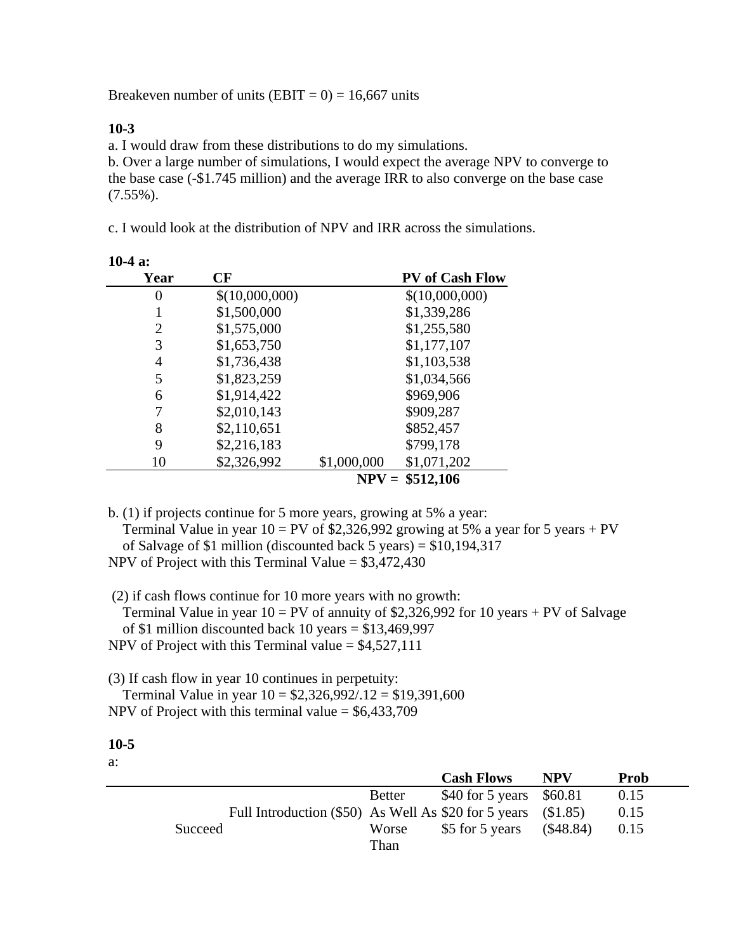Breakeven number of units (EBIT =  $0$ ) = 16,667 units

### **10-3**

**10-4 a:**

a. I would draw from these distributions to do my simulations.

b. Over a large number of simulations, I would expect the average NPV to converge to the base case (-\$1.745 million) and the average IRR to also converge on the base case (7.55%).

c. I would look at the distribution of NPV and IRR across the simulations.

| Year | CF             | <b>PV</b> of Cash Flow     |
|------|----------------|----------------------------|
| O    | \$(10,000,000) | \$(10,000,000)             |
|      | \$1,500,000    | \$1,339,286                |
| 2    | \$1,575,000    | \$1,255,580                |
| 3    | \$1,653,750    | \$1,177,107                |
| 4    | \$1,736,438    | \$1,103,538                |
| 5    | \$1,823,259    | \$1,034,566                |
| 6    | \$1,914,422    | \$969,906                  |
|      | \$2,010,143    | \$909,287                  |
| 8    | \$2,110,651    | \$852,457                  |
| 9    | \$2,216,183    | \$799,178                  |
| 10   | \$2,326,992    | \$1,000,000<br>\$1,071,202 |
|      |                | $NPV = $512,106$           |

b. (1) if projects continue for 5 more years, growing at 5% a year: Terminal Value in year  $10 = PV$  of \$2,326,992 growing at 5% a year for 5 years + PV of Salvage of \$1 million (discounted back 5 years) = \$10,194,317 NPV of Project with this Terminal Value =  $$3,472,430$ 

 (2) if cash flows continue for 10 more years with no growth: Terminal Value in year  $10 = PV$  of annuity of \$2,326,992 for 10 years + PV of Salvage of \$1 million discounted back 10 years =  $$13,469,997$ NPV of Project with this Terminal value  $= $4,527,111$ 

(3) If cash flow in year 10 continues in perpetuity: Terminal Value in year  $10 = $2,326,992/.12 = $19,391,600$ NPV of Project with this terminal value  $=$  \$6,433,709

#### **10-5**

a:

|         |                                                                     |               | <b>Cash Flows</b>         | <b>NPV</b>  | <b>Prob</b> |
|---------|---------------------------------------------------------------------|---------------|---------------------------|-------------|-------------|
|         |                                                                     | <b>Better</b> | \$40 for 5 years $$60.81$ |             | 0.15        |
|         | Full Introduction $(\$50)$ As Well As $\$20$ for 5 years $(\$1.85)$ |               |                           |             | 0.15        |
| Succeed |                                                                     | Worse         | \$5 for 5 years           | $(\$48.84)$ | 0.15        |
|         |                                                                     | Than          |                           |             |             |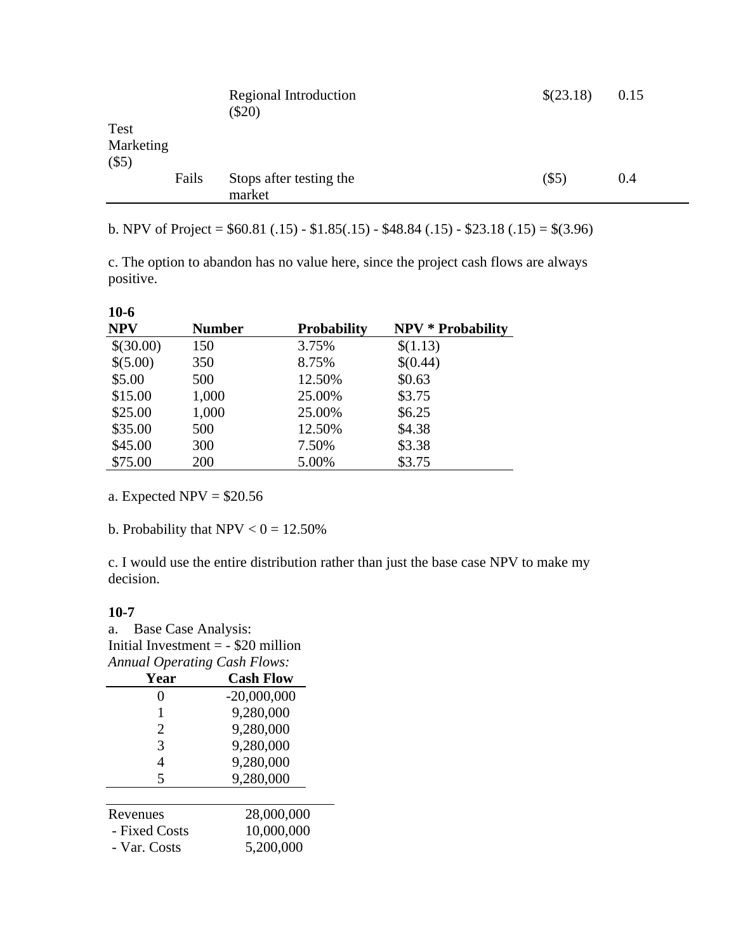|                                     |       | Regional Introduction<br>$(\$20)$ | \$(23.18) | 0.15 |
|-------------------------------------|-------|-----------------------------------|-----------|------|
| <b>Test</b><br>Marketing<br>$(\$5)$ |       |                                   |           |      |
|                                     | Fails | Stops after testing the<br>market | $(\$5)$   | 0.4  |

b. NPV of Project =  $$60.81(.15) - $1.85(.15) - $48.84(.15) - $23.18(.15) = $(3.96)$ 

c. The option to abandon has no value here, since the project cash flows are always positive.

| <b>Number</b> | <b>Probability</b> | <b>NPV * Probability</b> |
|---------------|--------------------|--------------------------|
| 150           | 3.75%              | \$(1.13)                 |
| 350           | 8.75%              | \$(0.44)                 |
| 500           | 12.50%             | \$0.63                   |
| 1,000         | 25.00%             | \$3.75                   |
| 1,000         | 25.00%             | \$6.25                   |
| 500           | 12.50%             | \$4.38                   |
| 300           | 7.50%              | \$3.38                   |
| 200           | 5.00%              | \$3.75                   |
|               |                    |                          |

a. Expected  $NPV = $20.56$ 

b. Probability that  $NPV < 0 = 12.50\%$ 

c. I would use the entire distribution rather than just the base case NPV to make my decision.

#### **10-7**

**10-6**

a. Base Case Analysis: Initial Investment = - \$20 million *Annual Operating Cash Flows:*

| Year          | <b>Cash Flow</b> |
|---------------|------------------|
| 0             | $-20,000,000$    |
| 1             | 9,280,000        |
| 2             | 9,280,000        |
| 3             | 9,280,000        |
| 4             | 9,280,000        |
| 5             | 9,280,000        |
|               |                  |
| Revenues      | 28,000,000       |
| - Fixed Costs | 10,000,000       |
| - Var. Costs  | 5,200,000        |
|               |                  |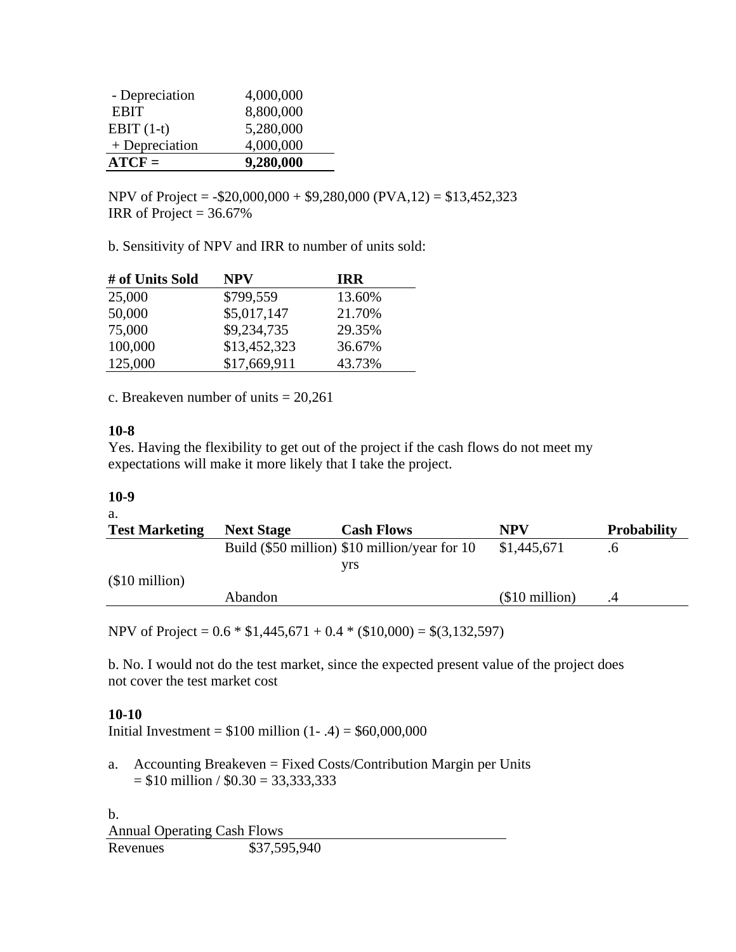| - Depreciation | 4,000,000 |
|----------------|-----------|
| <b>EBIT</b>    | 8,800,000 |
| EBIT $(1-t)$   | 5,280,000 |
| + Depreciation | 4,000,000 |
| $ATCF =$       | 9,280,000 |

NPV of Project =  $-$ \$20,000,000 + \$9,280,000 (PVA,12) = \$13,452,323 IRR of Project =  $36.67\%$ 

b. Sensitivity of NPV and IRR to number of units sold:

| # of Units Sold | NPV          | <b>TRR</b> |
|-----------------|--------------|------------|
| 25,000          | \$799,559    | 13.60%     |
| 50,000          | \$5,017,147  | 21.70%     |
| 75,000          | \$9,234,735  | 29.35%     |
| 100,000         | \$13,452,323 | 36.67%     |
| 125,000         | \$17,669,911 | 43.73%     |

c. Breakeven number of units  $= 20,261$ 

#### **10-8**

Yes. Having the flexibility to get out of the project if the cash flows do not meet my expectations will make it more likely that I take the project.

#### **10-9**

a.

| <b>Test Marketing</b> | <b>Next Stage</b> | <b>Cash Flows</b>                             | NPV            | <b>Probability</b> |
|-----------------------|-------------------|-----------------------------------------------|----------------|--------------------|
|                       |                   | Build (\$50 million) \$10 million/year for 10 | \$1,445,671    |                    |
|                       |                   | vrs                                           |                |                    |
| $$10$ million)        |                   |                                               |                |                    |
|                       | Abandon           |                                               | $$10$ million) |                    |

NPV of Project =  $0.6 * $1,445,671 + 0.4 * ($10,000) = $(3,132,597)$ 

b. No. I would not do the test market, since the expected present value of the project does not cover the test market cost

#### **10-10**

Initial Investment =  $$100$  million  $(1 - .4) = $60,000,000$ 

a. Accounting Breakeven = Fixed Costs/Contribution Margin per Units  $= $10 \text{ million} / $0.30 = 33,333,333$ 

b. Annual Operating Cash Flows Revenues \$37,595,940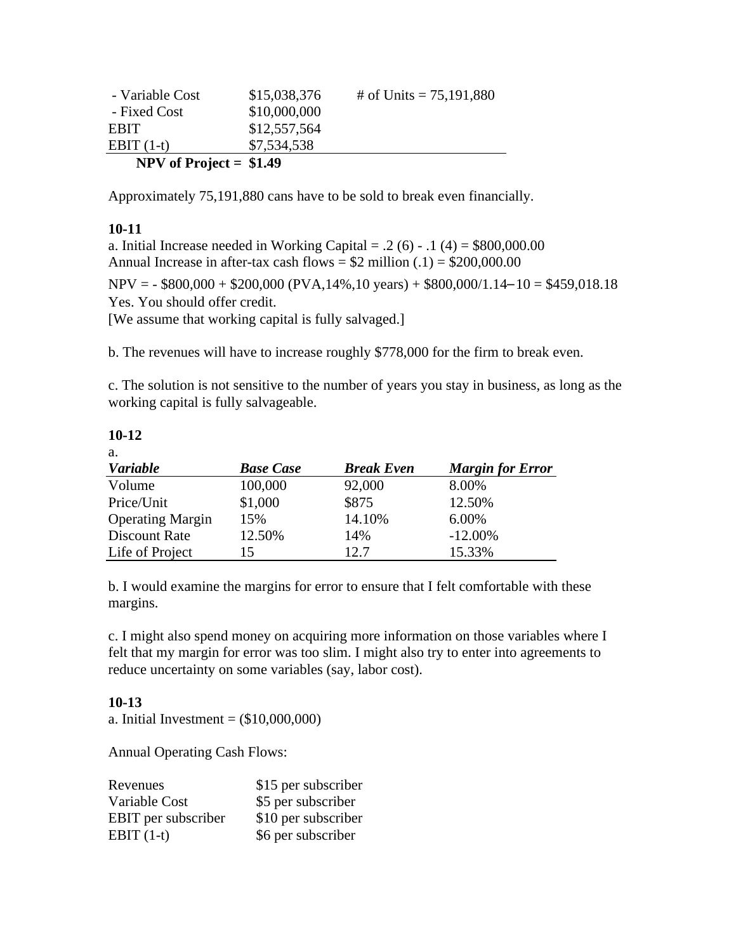| - Variable Cost          | \$15,038,376 | # of Units = $75,191,880$ |
|--------------------------|--------------|---------------------------|
| - Fixed Cost             | \$10,000,000 |                           |
| <b>ERIT</b>              | \$12,557,564 |                           |
| EBIT $(1-t)$             | \$7,534,538  |                           |
| NPV of Project = $$1.49$ |              |                           |

Approximately 75,191,880 cans have to be sold to break even financially.

# **10-11**

a. Initial Increase needed in Working Capital =  $.2(6)$  -  $.1(4) = $800,000.00$ Annual Increase in after-tax cash flows =  $$2$  million (.1) =  $$200,000.00$ 

 $NPV = -$ \$800,000 + \$200,000 (PVA,14%,10 years) + \$800,000/1.14–10 = \$459,018.18 Yes. You should offer credit. [We assume that working capital is fully salvaged.]

b. The revenues will have to increase roughly \$778,000 for the firm to break even.

c. The solution is not sensitive to the number of years you stay in business, as long as the working capital is fully salvageable.

#### **10-12**

a.

| <b>Variable</b>         | <b>Base Case</b> | <b>Break Even</b> | <b>Margin for Error</b> |
|-------------------------|------------------|-------------------|-------------------------|
| Volume                  | 100,000          | 92,000            | 8.00%                   |
| Price/Unit              | \$1,000          | \$875             | 12.50%                  |
| <b>Operating Margin</b> | 15%              | 14.10%            | 6.00%                   |
| Discount Rate           | 12.50%           | 14%               | $-12.00\%$              |
| Life of Project         |                  | 12.7              | 15.33%                  |

b. I would examine the margins for error to ensure that I felt comfortable with these margins.

c. I might also spend money on acquiring more information on those variables where I felt that my margin for error was too slim. I might also try to enter into agreements to reduce uncertainty on some variables (say, labor cost).

#### **10-13**

a. Initial Investment =  $(\$10,000,000)$ 

Annual Operating Cash Flows:

| Revenues                   | \$15 per subscriber |
|----------------------------|---------------------|
| Variable Cost              | \$5 per subscriber  |
| <b>EBIT</b> per subscriber | \$10 per subscriber |
| EBIT $(1-t)$               | \$6 per subscriber  |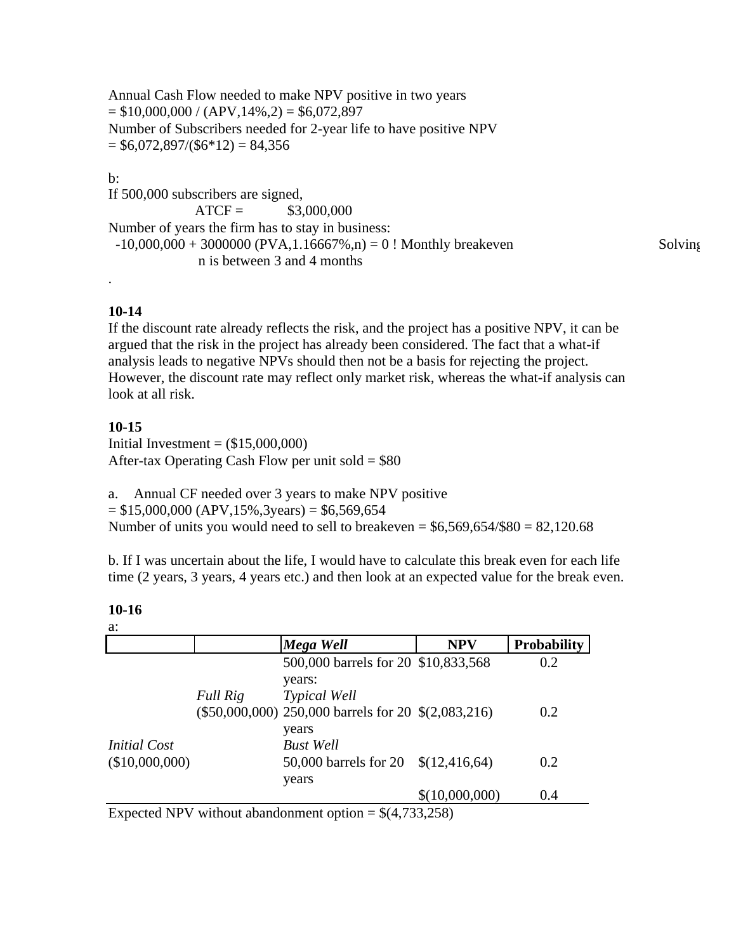Annual Cash Flow needed to make NPV positive in two years  $= $10,000,000 / (APV,14\%,2) = $6,072,897$ Number of Subscribers needed for 2-year life to have positive NPV  $= $6,072,897/($6*12) = $4,356$ 

# b:

If 500,000 subscribers are signed,  $ATCF =$  \$3,000,000 Number of years the firm has to stay in business:  $-10,000,000 + 3000000$  (PVA, 1.16667%, n) = 0 ! Monthly breakeven Solving n is between 3 and 4 months

# **10-14**

.

If the discount rate already reflects the risk, and the project has a positive NPV, it can be argued that the risk in the project has already been considered. The fact that a what-if analysis leads to negative NPVs should then not be a basis for rejecting the project. However, the discount rate may reflect only market risk, whereas the what-if analysis can look at all risk.

# **10-15**

Initial Investment  $=$   $($15,000,000)$ After-tax Operating Cash Flow per unit sold  $= $80$ 

a. Annual CF needed over 3 years to make NPV positive  $= $15,000,000$  (APV, 15%, 3years)  $= $6,569,654$ Number of units you would need to sell to breakeven =  $$6,569,654/\$80 = 82,120.68$ 

b. If I was uncertain about the life, I would have to calculate this break even for each life time (2 years, 3 years, 4 years etc.) and then look at an expected value for the break even.

**10-16**

|                     |          | Mega Well                                           | <b>NPV</b>     | <b>Probability</b> |
|---------------------|----------|-----------------------------------------------------|----------------|--------------------|
|                     |          | 500,000 barrels for 20 \$10,833,568                 |                | 0.2                |
|                     |          | years:                                              |                |                    |
|                     | Full Rig | <b>Typical Well</b>                                 |                |                    |
|                     |          | (\$50,000,000) 250,000 barrels for 20 \$(2,083,216) |                | 0.2                |
|                     |          | years                                               |                |                    |
| <i>Initial Cost</i> |          | <b>Bust Well</b>                                    |                |                    |
| (\$10,000,000)      |          | 50,000 barrels for 20 \$(12,416,64)                 |                | 0.2                |
|                     |          | years                                               |                |                    |
|                     |          |                                                     | \$(10,000,000) | 0.4                |

Expected NPV without abandonment option  $= \frac{1}{4}, 733,258$